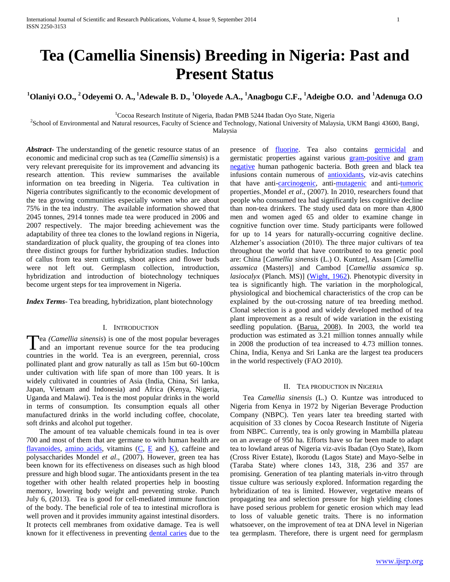# **Tea (Camellia Sinensis) Breeding in Nigeria: Past and Present Status**

## **<sup>1</sup>Olaniyi O.O., <sup>2</sup>Odeyemi O. A., <sup>1</sup>Adewale B. D., <sup>1</sup>Oloyede A.A., <sup>1</sup>Anagbogu C.F., <sup>1</sup>Adeigbe O.O. and <sup>1</sup>Adenuga O.O**

 $1$ Cocoa Research Institute of Nigeria, Ibadan PMB 5244 Ibadan Oyo State, Nigeria

2 School of Environmental and Natural resources, Faculty of Science and Technology, National University of Malaysia, UKM Bangi 43600, Bangi,

Malaysia

*Abstract***-** The understanding of the genetic resource status of an economic and medicinal crop such as tea (*Camellia simensis*) is a very relevant prerequisite for its improvement and advancing its research attention. This review summarises the available information on tea breeding in Nigeria. Tea cultivation in Nigeria contributes significantly to the economic development of the tea growing communities especially women who are about 75% in the tea industry. The available information showed that 2045 tonnes, 2914 tonnes made tea were produced in 2006 and 2007 respectively. The major breeding achievement was the adaptability of three tea clones to the lowland regions in Nigeria, standardization of pluck quality, the grouping of tea clones into three distinct groups for further hybridization studies. Induction of callus from tea stem cuttings, shoot apices and flower buds were not left out. Germplasm collection, introduction, hybridization and introduction of biotechnology techniques become urgent steps for tea improvement in Nigeria.

*Index Terms*- Tea breading, hybridization, plant biotechnology

## I. INTRODUCTION

ea *(Camellia sinensis*) is one of the most popular beverages Tea (Camellia sinensis) is one of the most popular beverages<br>and an important revenue source for the tea producing countries in the world. Tea is an evergreen, perennial, cross pollinated plant and grow naturally as tall as 15m but 60-100cm under cultivation with life span of more than 100 years. It is widely cultivated in countries of Asia (India, China, Sri lanka, Japan, Vietnam and Indonesia) and Africa (Kenya, Nigeria, Uganda and Malawi). Tea is the most popular drinks in the world in terms of consumption. Its consumption equals all other manufactured drinks in the world including coffee, chocolate, soft drinks and alcohol put together.

 The amount of tea valuable chemicals found in tea is over 700 and most of them that are germane to with human health are [flavanoides,](http://en.wikipedia.org/wiki/Flavanoid) [amino acids,](http://en.wikipedia.org/wiki/Amino_acid) vitamins  $(C, E$  $(C, E$  and  $K$ ), caffeine and polysaccharides Mondel *et al*., (2007). However, green tea has been known for its effectiveness on diseases such as high blood pressure and high blood sugar. The antioxidants present in the tea together with other health related properties help in boosting memory, lowering body weight and preventing stroke. Punch July 6, (2013). Tea is good for cell-mediated immune function of the body. The beneficial role of tea to intestinal microflora is well proven and it provides immunity against intestinal disorders. It protects cell membranes from oxidative damage. Tea is well known for it effectiveness in preventing [dental caries](http://en.wikipedia.org/wiki/Dental_caries) due to the

presence of **fluorine**. Tea also contains **[germicidal](http://en.wikipedia.org/wiki/Germicidal)** and germistatic properties against various **[gram-positive](http://en.wikipedia.org/wiki/Gram-positive_bacteria)** and gram [negative](http://en.wikipedia.org/wiki/Gram-negative_bacteria) human pathogenic bacteria. Both green and black tea infusions contain numerous of [antioxidants,](http://en.wikipedia.org/wiki/Antioxidant) viz-avis catechins that have anti[-carcinogenic,](http://en.wikipedia.org/wiki/Carcinogenic) anti[-mutagenic](http://en.wikipedia.org/wiki/Mutagenic) and anti[-tumoric](http://en.wikipedia.org/wiki/Tumor) properties. Mondel *et al*., (2007). In 2010, researchers found that people who consumed tea had significantly less cognitive decline than non-tea drinkers. The study used data on more than 4,800 men and women aged 65 and older to examine change in cognitive function over time. Study participants were followed for up to 14 years for naturally-occurring cognitive decline. Alzhemer's association (2010). The three major cultivars of tea throughout the world that have contributed to tea genetic pool are: China [*Camellia sinensis* (L.) O. Kuntze], Assam [*Camellia assamica* (Masters)] and Cambod [*Camellia assamica* sp. *lasiocalyx* (Planch. MS)] [\(Wight, 1962\)](file:///F:\Dr%20Adewale\AppData\Local\AppData\Local\Temp\Documents\word\Molecular%20Marker%20Technology%20in%20Genetic%20Improvement%20of%20Tea.htm%23573290_ja). Phenotypic diversity in tea is significantly high. The variation in the morphological, physiological and biochemical characteristics of the crop can be explained by the out-crossing nature of tea breeding method. Clonal selection is a good and widely developed method of tea plant improvement as a result of wide variation in the existing seedling population. (Barua, 2008). In 2003, the world tea production was estimated as 3.21 million tonnes annually while in 2008 the production of tea increased to 4.73 million tonnes. China, India, Kenya and Sri Lanka are the largest tea producers in the world respectively (FAO 2010).

#### II. TEA PRODUCTION IN NIGERIA

 Tea *Camellia sinensis* (L.) O. Kuntze was introduced to Nigeria from Kenya in 1972 by Nigerian Beverage Production Company (NBPC). Ten years later tea breeding started with acquisition of 33 clones by Cocoa Research Institute of Nigeria from NBPC. Currently, tea is only growing in Mambilla plateau on an average of 950 ha. Efforts have so far been made to adapt tea to lowland areas of Nigeria viz-avis Ibadan (Oyo State), Ikom (Cross River Estate), Ikorodu (Lagos State) and Mayo-Selbe in (Taraba State) where clones 143, 318, 236 and 357 are promising. Generation of tea planting materials in-vitro through tissue culture was seriously explored. Information regarding the hybridization of tea is limited. However, vegetative means of propagating tea and selection pressure for high yielding clones have posed serious problem for genetic erosion which may lead to loss of valuable genetic traits. There is no information whatsoever, on the improvement of tea at DNA level in Nigerian tea germplasm. Therefore, there is urgent need for germplasm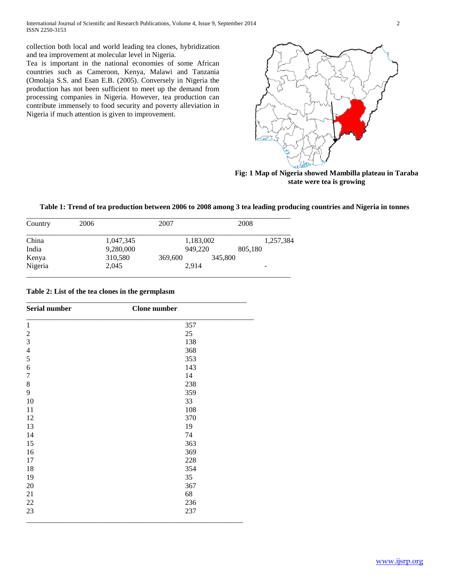collection both local and world leading tea clones, hybridization and tea improvement at molecular level in Nigeria.

Tea is important in the national economies of some African countries such as Cameroon, Kenya, Malawi and Tanzania (Omolaja S.S. and Esan E.B. (2005). Conversely in Nigeria the production has not been sufficient to meet up the demand from processing companies in Nigeria. However, tea production can contribute immensely to food security and poverty alleviation in Nigeria if much attention is given to improvement.



**Fig: 1 Map of Nigeria showed Mambilla plateau in Taraba state were tea is growing**

## **Table 1: Trend of tea production between 2006 to 2008 among 3 tea leading producing countries and Nigeria in tonnes**

| Country | 2006 |           | 2007    |           |         | 2008    |           |
|---------|------|-----------|---------|-----------|---------|---------|-----------|
| China   |      | 1,047,345 |         | 1,183,002 |         |         | 1,257,384 |
| India   |      | 9,280,000 |         | 949,220   |         | 805,180 |           |
| Kenya   |      | 310,580   | 369,600 |           | 345,800 |         |           |
| Nigeria |      | 2,045     |         | 2.914     |         |         |           |

**Table 2: List of the tea clones in the germplasm**

| <b>Serial number</b>    | <b>Clone</b> number |  |  |
|-------------------------|---------------------|--|--|
| 1                       | 357                 |  |  |
| $\mathfrak{2}$          | 25                  |  |  |
| $\mathfrak{Z}$          | 138                 |  |  |
| $\overline{\mathbf{4}}$ | 368                 |  |  |
| 5                       | 353                 |  |  |
| 6                       | 143                 |  |  |
| $\boldsymbol{7}$        | 14                  |  |  |
| $\,8\,$                 | 238                 |  |  |
| 9                       | 359                 |  |  |
| 10                      | 33                  |  |  |
| 11                      | 108                 |  |  |
| 12                      | 370                 |  |  |
| 13                      | 19                  |  |  |
| 14                      | 74                  |  |  |
| 15                      | 363                 |  |  |
| 16                      | 369                 |  |  |
| 17                      | 228                 |  |  |
| 18                      | 354                 |  |  |
| 19                      | 35                  |  |  |
| 20                      | 367                 |  |  |
| 21                      | 68                  |  |  |
| $22\,$                  | 236                 |  |  |
| 23                      | 237                 |  |  |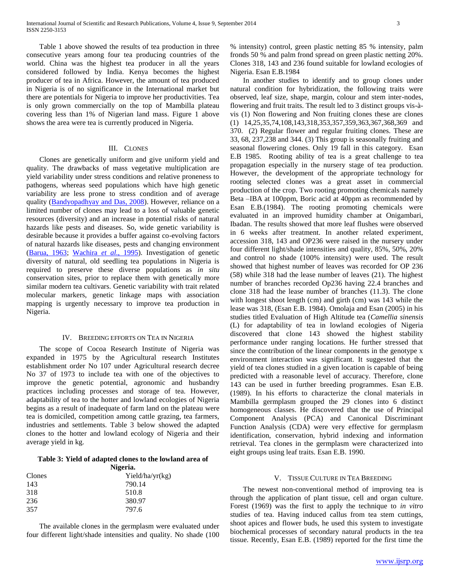Table 1 above showed the results of tea production in three consecutive years among four tea producing countries of the world. China was the highest tea producer in all the years considered followed by India. Kenya becomes the highest producer of tea in Africa. However, the amount of tea produced in Nigeria is of no significance in the International market but there are potentials for Nigeria to improve her productivities. Tea is only grown commercially on the top of Mambilla plateau covering less than 1% of Nigerian land mass. Figure 1 above shows the area were tea is currently produced in Nigeria.

## III. CLONES

 Clones are genetically uniform and give uniform yield and quality. The drawbacks of mass vegetative multiplication are yield variability under stress conditions and relative proneness to pathogens, whereas seed populations which have high genetic variability are less prone to stress condition and of average quality [\(Bandyopadhyay and Das, 2008\)](file:///F:\Dr%20Adewale\AppData\Local\AppData\Local\Temp\Documents\word\Molecular%20Marker%20Technology%20in%20Genetic%20Improvement%20of%20Tea.htm%23573473_ja). However, reliance on a limited number of clones may lead to a loss of valuable genetic resources (diversity) and an increase in potential risks of natural hazards like pests and diseases. So, wide genetic variability is desirable because it provides a buffer against co-evolving factors of natural hazards like diseases, pests and changing environment [\(Barua, 1963;](file:///F:\Dr%20Adewale\AppData\Local\AppData\Local\Temp\Documents\word\Molecular%20Marker%20Technology%20in%20Genetic%20Improvement%20of%20Tea.htm%23573476_ja) [Wachira](file:///F:\Dr%20Adewale\AppData\Local\AppData\Local\Temp\Documents\word\Molecular%20Marker%20Technology%20in%20Genetic%20Improvement%20of%20Tea.htm%23573277_ja) *et al*., 1995). Investigation of genetic diversity of natural, old seedling tea populations in Nigeria is required to preserve these diverse populations as *in situ*  conservation sites, prior to replace them with genetically more similar modern tea cultivars. Genetic variability with trait related molecular markers, genetic linkage maps with association mapping is urgently necessary to improve tea production in Nigeria.

## IV. BREEDING EFFORTS ON TEA IN NIGERIA

 The scope of Cocoa Research Institute of Nigeria was expanded in 1975 by the Agricultural research Institutes establishment order No 107 under Agricultural research decree No 37 of 1973 to include tea with one of the objectives to improve the genetic potential, agronomic and husbandry practices including processes and storage of tea. However, adaptability of tea to the hotter and lowland ecologies of Nigeria begins as a result of inadequate of farm land on the plateau were tea is domiciled, competition among cattle grazing, tea farmers, industries and settlements. Table 3 below showed the adapted clones to the hotter and lowland ecology of Nigeria and their average yield in kg.

#### **Table 3: Yield of adapted clones to the lowland area of Nigeria.**

| Yield/ha/yr(kg) |
|-----------------|
| 790.14          |
| 510.8           |
| 380.97          |
| 797.6           |
|                 |

 The available clones in the germplasm were evaluated under four different light/shade intensities and quality. No shade (100

% intensity) control, green plastic netting 85 % intensity, palm fronds 50 % and palm frond spread on green plastic netting 20%. Clones 318, 143 and 236 found suitable for lowland ecologies of Nigeria. Esan E.B.1984

 In another studies to identify and to group clones under natural condition for hybridization, the following traits were observed, leaf size, shape, margin, colour and stem inter-nodes, flowering and fruit traits. The result led to 3 distinct groups vis-àvis (1) Non flowering and Non fruiting clones these are clones (1) 14,25,35,74,108,143,318,353,357,359,363,367,368,369 and 370. (2) Regular flower and regular fruiting clones. These are 33, 68, 237,238 and 344. (3) This group is seasonally fruiting and seasonal flowering clones. Only 19 fall in this category. Esan E.B 1985. Rooting ability of tea is a great challenge to tea propagation especially in the nursery stage of tea production. However, the development of the appropriate technology for rooting selected clones was a great asset in commercial production of the crop. Two rooting promoting chemicals namely Beta –IBA at 100ppm, Boric acid at 40ppm as recommended by Esan E.B.(1984). The rooting promoting chemicals were evaluated in an improved humidity chamber at Onigambari, Ibadan. The results showed that more leaf flushes were observed in 6 weeks after treatment. In another related experiment, accession 318, 143 and OP236 were raised in the nursery under four different light/shade intensities and quality, 85%, 50%, 20% and control no shade (100% intensity) were used. The result showed that highest number of leaves was recorded for OP 236 (58) while 318 had the lease number of leaves (21). The highest number of branches recorded Op236 having 22.4 branches and clone 318 had the lease number of branches (11.3). The clone with longest shoot length (cm) and girth (cm) was 143 while the lease was 318, (Esan E.B. 1984). Omolaja and Esan (2005) in his studies titled Evaluation of High Altitude tea (*Camellia sinensis* (L) for adaptability of tea in lowland ecologies of Nigeria discovered that clone 143 showed the highest stability performance under ranging locations. He further stressed that since the contribution of the linear components in the genotype x environment interaction was significant. It suggested that the yield of tea clones studied in a given location is capable of being predicted with a reasonable level of accuracy. Therefore, clone 143 can be used in further breeding programmes. Esan E.B. (1989). In his efforts to characterize the clonal materials in Mambilla germplasm grouped the 29 clones into 6 distinct homogeneous classes. He discovered that the use of Principal Component Analysis (PCA) and Canonical Discriminant Function Analysis (CDA) were very effective for germplasm identification, conservation, hybrid indexing and information retrieval. Tea clones in the germplasm were characterized into eight groups using leaf traits. Esan E.B. 1990.

## V. TISSUE CULTURE IN TEA BREEDING

 The newest non-conventional method of improving tea is through the application of plant tissue, cell and organ culture. Forest (1969) was the first to apply the technique to *in vitro* studies of tea. Having induced callus from tea stem cuttings, shoot apices and flower buds, he used this system to investigate biochemical processes of secondary natural products in the tea tissue. Recently, Esan E.B. (1989) reported for the first time the